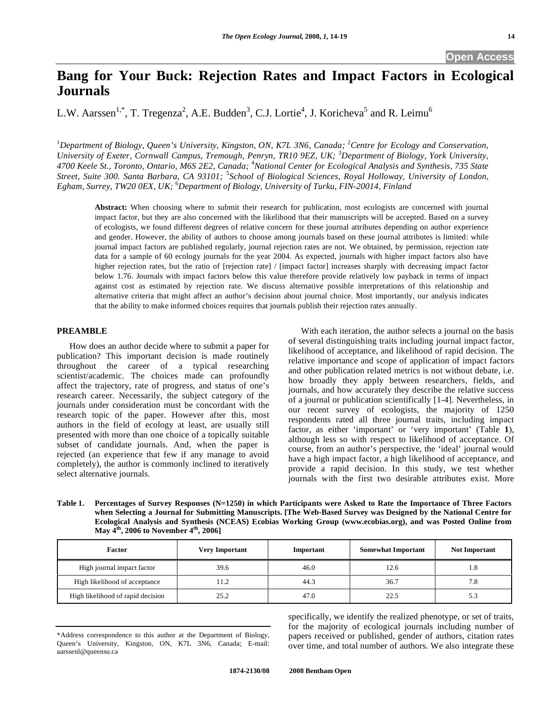# **Bang for Your Buck: Rejection Rates and Impact Factors in Ecological Journals**

L.W. Aarssen<sup>1,\*</sup>, T. Tregenza<sup>2</sup>, A.E. Budden<sup>3</sup>, C.J. Lortie<sup>4</sup>, J. Koricheva<sup>5</sup> and R. Leimu<sup>6</sup>

<sup>1</sup>Department of Biology, Queen's University, Kingston, ON, K7L 3N6, Canada; <sup>2</sup>Centre for Ecology and Conservation, *University of Exeter, Cornwall Campus, Tremough, Penryn, TR10 9EZ, UK;* <sup>3</sup> *Department of Biology, York University, 4700 Keele St., Toronto, Ontario, M6S 2E2, Canada;* <sup>4</sup> *National Center for Ecological Analysis and Synthesis, 735 State Street, Suite 300. Santa Barbara, CA 93101;* <sup>5</sup> *School of Biological Sciences, Royal Holloway, University of London, Egham, Surrey, TW20 0EX, UK;* <sup>6</sup> *Department of Biology, University of Turku, FIN-20014, Finland* 

**Abstract:** When choosing where to submit their research for publication, most ecologists are concerned with journal impact factor, but they are also concerned with the likelihood that their manuscripts will be accepted. Based on a survey of ecologists, we found different degrees of relative concern for these journal attributes depending on author experience and gender. However, the ability of authors to choose among journals based on these journal attributes is limited: while journal impact factors are published regularly, journal rejection rates are not. We obtained, by permission, rejection rate data for a sample of 60 ecology journals for the year 2004. As expected, journals with higher impact factors also have higher rejection rates, but the ratio of [rejection rate] / [impact factor] increases sharply with decreasing impact factor below 1.76. Journals with impact factors below this value therefore provide relatively low payback in terms of impact against cost as estimated by rejection rate. We discuss alternative possible interpretations of this relationship and alternative criteria that might affect an author's decision about journal choice. Most importantly, our analysis indicates that the ability to make informed choices requires that journals publish their rejection rates annually.

# **PREAMBLE**

 How does an author decide where to submit a paper for publication? This important decision is made routinely throughout the career of a typical researching scientist/academic. The choices made can profoundly affect the trajectory, rate of progress, and status of one's research career. Necessarily, the subject category of the journals under consideration must be concordant with the research topic of the paper. However after this, most authors in the field of ecology at least, are usually still presented with more than one choice of a topically suitable subset of candidate journals. And, when the paper is rejected (an experience that few if any manage to avoid completely), the author is commonly inclined to iteratively select alternative journals.

 With each iteration, the author selects a journal on the basis of several distinguishing traits including journal impact factor, likelihood of acceptance, and likelihood of rapid decision. The relative importance and scope of application of impact factors and other publication related metrics is not without debate, i.e. how broadly they apply between researchers, fields, and journals, and how accurately they describe the relative success of a journal or publication scientifically [1-4]. Nevertheless, in our recent survey of ecologists, the majority of 1250 respondents rated all three journal traits, including impact factor, as either 'important' or 'very important' (Table **1**), although less so with respect to likelihood of acceptance. Of course, from an author's perspective, the 'ideal' journal would have a high impact factor, a high likelihood of acceptance, and provide a rapid decision. In this study, we test whether journals with the first two desirable attributes exist. More

**Table 1. Percentages of Survey Responses (N=1250) in which Participants were Asked to Rate the Importance of Three Factors when Selecting a Journal for Submitting Manuscripts. [The Web-Based Survey was Designed by the National Centre for Ecological Analysis and Synthesis (NCEAS) Ecobias Working Group (www.ecobias.org), and was Posted Online from May 4th, 2006 to November 4th, 2006]** 

| <b>Factor</b>                     | <b>Very Important</b> | Important | <b>Somewhat Important</b> | <b>Not Important</b> |
|-----------------------------------|-----------------------|-----------|---------------------------|----------------------|
| High journal impact factor        | 39.6                  | 46.0      | 12.6                      | 1.8                  |
| High likelihood of acceptance     |                       | 44.3      | 36.7                      | 7.8                  |
| High likelihood of rapid decision | 25.2                  | 47.0      | 22.5                      | 5.3                  |

<sup>\*</sup>Address correspondence to this author at the Department of Biology, Queen's University, Kingston, ON, K7L 3N6, Canada; E-mail: aarssenl@queensu.ca

specifically, we identify the realized phenotype, or set of traits, for the majority of ecological journals including number of papers received or published, gender of authors, citation rates over time, and total number of authors. We also integrate these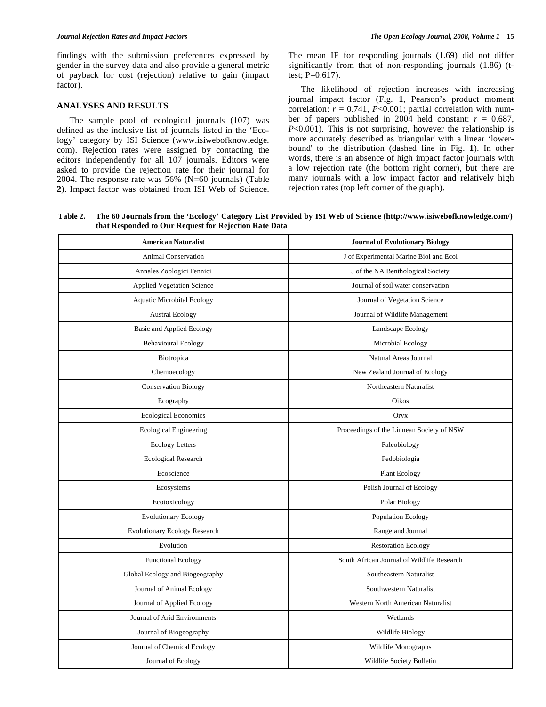findings with the submission preferences expressed by gender in the survey data and also provide a general metric of payback for cost (rejection) relative to gain (impact factor).

# **ANALYSES AND RESULTS**

 The sample pool of ecological journals (107) was defined as the inclusive list of journals listed in the 'Ecology' category by ISI Science (www.isiwebofknowledge. com). Rejection rates were assigned by contacting the editors independently for all 107 journals. Editors were asked to provide the rejection rate for their journal for 2004. The response rate was 56% (N=60 journals) (Table **2**). Impact factor was obtained from ISI Web of Science. The mean IF for responding journals (1.69) did not differ significantly from that of non-responding journals (1.86) (ttest; P=0.617).

 The likelihood of rejection increases with increasing journal impact factor (Fig. **1**, Pearson's product moment correlation:  $r = 0.741$ ,  $P < 0.001$ ; partial correlation with number of papers published in 2004 held constant:  $r = 0.687$ , *P*<0.001). This is not surprising, however the relationship is more accurately described as 'triangular' with a linear 'lowerbound' to the distribution (dashed line in Fig. **1**). In other words, there is an absence of high impact factor journals with a low rejection rate (the bottom right corner), but there are many journals with a low impact factor and relatively high rejection rates (top left corner of the graph).

**Table 2. The 60 Journals from the 'Ecology' Category List Provided by ISI Web of Science (http://www.isiwebofknowledge.com/) that Responded to Our Request for Rejection Rate Data** 

| <b>American Naturalist</b>           | <b>Journal of Evolutionary Biology</b>     |  |  |
|--------------------------------------|--------------------------------------------|--|--|
| <b>Animal Conservation</b>           | J of Experimental Marine Biol and Ecol     |  |  |
| Annales Zoologici Fennici            | J of the NA Benthological Society          |  |  |
| <b>Applied Vegetation Science</b>    | Journal of soil water conservation         |  |  |
| <b>Aquatic Microbital Ecology</b>    | Journal of Vegetation Science              |  |  |
| <b>Austral Ecology</b>               | Journal of Wildlife Management             |  |  |
| <b>Basic and Applied Ecology</b>     | Landscape Ecology                          |  |  |
| <b>Behavioural Ecology</b>           | Microbial Ecology                          |  |  |
| Biotropica                           | Natural Areas Journal                      |  |  |
| Chemoecology                         | New Zealand Journal of Ecology             |  |  |
| <b>Conservation Biology</b>          | Northeastern Naturalist                    |  |  |
| Ecography                            | Oikos                                      |  |  |
| <b>Ecological Economics</b>          | Oryx                                       |  |  |
| <b>Ecological Engineering</b>        | Proceedings of the Linnean Society of NSW  |  |  |
| <b>Ecology Letters</b>               | Paleobiology                               |  |  |
| <b>Ecological Research</b>           | Pedobiologia                               |  |  |
| Ecoscience                           | Plant Ecology                              |  |  |
| Ecosystems                           | Polish Journal of Ecology                  |  |  |
| Ecotoxicology                        | Polar Biology                              |  |  |
| <b>Evolutionary Ecology</b>          | Population Ecology                         |  |  |
| <b>Evolutionary Ecology Research</b> | Rangeland Journal                          |  |  |
| Evolution                            | <b>Restoration Ecology</b>                 |  |  |
| <b>Functional Ecology</b>            | South African Journal of Wildlife Research |  |  |
| Global Ecology and Biogeography      | Southeastern Naturalist                    |  |  |
| Journal of Animal Ecology            | Southwestern Naturalist                    |  |  |
| Journal of Applied Ecology           | Western North American Naturalist          |  |  |
| Journal of Arid Environments         | Wetlands                                   |  |  |
| Journal of Biogeography              | Wildlife Biology                           |  |  |
| Journal of Chemical Ecology          | Wildlife Monographs                        |  |  |
| Journal of Ecology                   | Wildlife Society Bulletin                  |  |  |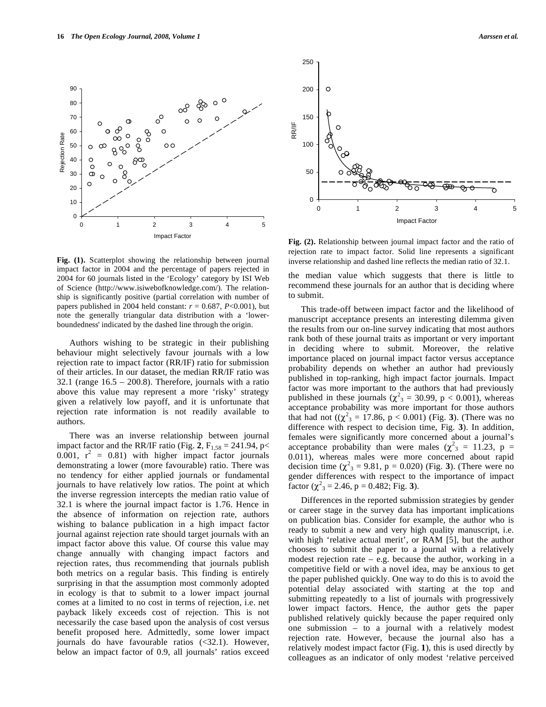

**Fig. (1).** Scatterplot showing the relationship between journal impact factor in 2004 and the percentage of papers rejected in 2004 for 60 journals listed in the 'Ecology' category by ISI Web of Science (http://www.isiwebofknowledge.com/). The relationship is significantly positive (partial correlation with number of papers published in 2004 held constant:  $r = 0.687$ ,  $P < 0.001$ ), but note the generally triangular data distribution with a 'lowerboundedness' indicated by the dashed line through the origin.

 Authors wishing to be strategic in their publishing behaviour might selectively favour journals with a low rejection rate to impact factor (RR/IF) ratio for submission of their articles. In our dataset, the median RR/IF ratio was 32.1 (range  $16.5 - 200.8$ ). Therefore, journals with a ratio above this value may represent a more 'risky' strategy given a relatively low payoff, and it is unfortunate that rejection rate information is not readily available to authors.

 There was an inverse relationship between journal impact factor and the RR/IF ratio (Fig. 2,  $F_{1,58} = 241.94$ , p<  $0.001$ ,  $r^2 = 0.81$ ) with higher impact factor journals demonstrating a lower (more favourable) ratio. There was no tendency for either applied journals or fundamental journals to have relatively low ratios. The point at which the inverse regression intercepts the median ratio value of 32.1 is where the journal impact factor is 1.76. Hence in the absence of information on rejection rate, authors wishing to balance publication in a high impact factor journal against rejection rate should target journals with an impact factor above this value. Of course this value may change annually with changing impact factors and rejection rates, thus recommending that journals publish both metrics on a regular basis. This finding is entirely surprising in that the assumption most commonly adopted in ecology is that to submit to a lower impact journal comes at a limited to no cost in terms of rejection, i.e. net payback likely exceeds cost of rejection. This is not necessarily the case based upon the analysis of cost versus benefit proposed here. Admittedly, some lower impact journals do have favourable ratios (<32.1). However, below an impact factor of 0.9, all journals' ratios exceed



**Fig. (2).** Relationship between journal impact factor and the ratio of rejection rate to impact factor. Solid line represents a significant inverse relationship and dashed line reflects the median ratio of 32.1.

the median value which suggests that there is little to recommend these journals for an author that is deciding where to submit.

 This trade-off between impact factor and the likelihood of manuscript acceptance presents an interesting dilemma given the results from our on-line survey indicating that most authors rank both of these journal traits as important or very important in deciding where to submit. Moreover, the relative importance placed on journal impact factor versus acceptance probability depends on whether an author had previously published in top-ranking, high impact factor journals. Impact factor was more important to the authors that had previously published in these journals ( $\chi^2$ <sub>3</sub> = 30.99, p < 0.001), whereas acceptance probability was more important for those authors that had not  $((\chi^2)^3 = 17.86, p < 0.001)$  (Fig. 3). (There was no difference with respect to decision time, Fig. **3**). In addition, females were significantly more concerned about a journal's acceptance probability than were males ( $\chi^2$ <sub>3</sub> = 11.23, p = 0.011), whereas males were more concerned about rapid decision time  $(\chi^2_3 = 9.81, p = 0.020)$  (Fig. 3). (There were no gender differences with respect to the importance of impact  $\text{factor } (\chi^2_{3} = 2.46, \, \text{p} = 0.482; \, \text{Fig. 3}).$ 

 Differences in the reported submission strategies by gender or career stage in the survey data has important implications on publication bias. Consider for example, the author who is ready to submit a new and very high quality manuscript, i.e. with high 'relative actual merit', or RAM [5], but the author chooses to submit the paper to a journal with a relatively modest rejection rate  $-$  e.g. because the author, working in a competitive field or with a novel idea, may be anxious to get the paper published quickly. One way to do this is to avoid the potential delay associated with starting at the top and submitting repeatedly to a list of journals with progressively lower impact factors. Hence, the author gets the paper published relatively quickly because the paper required only one submission – to a journal with a relatively modest rejection rate. However, because the journal also has a relatively modest impact factor (Fig. **1**), this is used directly by colleagues as an indicator of only modest 'relative perceived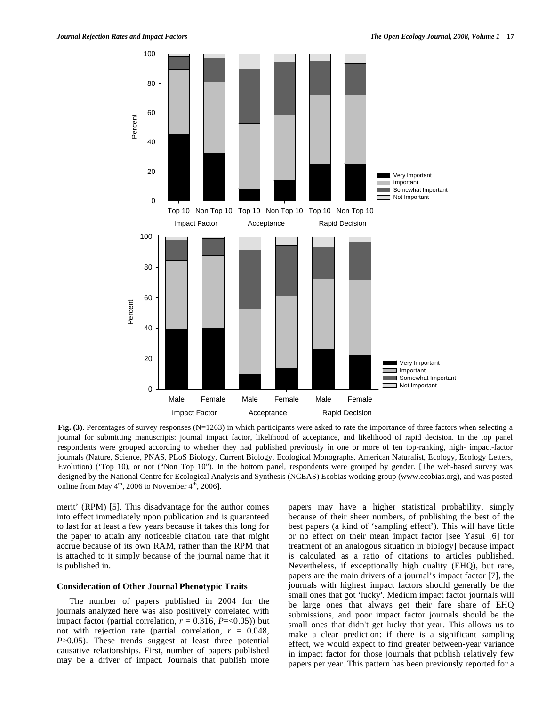

**Fig. (3)**. Percentages of survey responses (N=1263) in which participants were asked to rate the importance of three factors when selecting a journal for submitting manuscripts: journal impact factor, likelihood of acceptance, and likelihood of rapid decision. In the top panel respondents were grouped according to whether they had published previously in one or more of ten top-ranking, high- impact-factor journals (Nature, Science, PNAS, PLoS Biology, Current Biology, Ecological Monographs, American Naturalist, Ecology, Ecology Letters, Evolution) ('Top 10), or not ("Non Top 10"). In the bottom panel, respondents were grouped by gender. [The web-based survey was designed by the National Centre for Ecological Analysis and Synthesis (NCEAS) Ecobias working group (www.ecobias.org), and was posted online from May  $4<sup>th</sup>$ , 2006 to November  $4<sup>th</sup>$ , 2006].

merit' (RPM) [5]. This disadvantage for the author comes into effect immediately upon publication and is guaranteed to last for at least a few years because it takes this long for the paper to attain any noticeable citation rate that might accrue because of its own RAM, rather than the RPM that is attached to it simply because of the journal name that it is published in.

#### **Consideration of Other Journal Phenotypic Traits**

 The number of papers published in 2004 for the journals analyzed here was also positively correlated with impact factor (partial correlation,  $r = 0.316$ ,  $P = 0.05$ )) but not with rejection rate (partial correlation,  $r = 0.048$ , *P*>0.05). These trends suggest at least three potential causative relationships. First, number of papers published may be a driver of impact. Journals that publish more

papers may have a higher statistical probability, simply because of their sheer numbers, of publishing the best of the best papers (a kind of 'sampling effect'). This will have little or no effect on their mean impact factor [see Yasui [6] for treatment of an analogous situation in biology] because impact is calculated as a ratio of citations to articles published. Nevertheless, if exceptionally high quality (EHQ), but rare, papers are the main drivers of a journal's impact factor [7], the journals with highest impact factors should generally be the small ones that got 'lucky'. Medium impact factor journals will be large ones that always get their fare share of EHQ submissions, and poor impact factor journals should be the small ones that didn't get lucky that year. This allows us to make a clear prediction: if there is a significant sampling effect, we would expect to find greater between-year variance in impact factor for those journals that publish relatively few papers per year. This pattern has been previously reported for a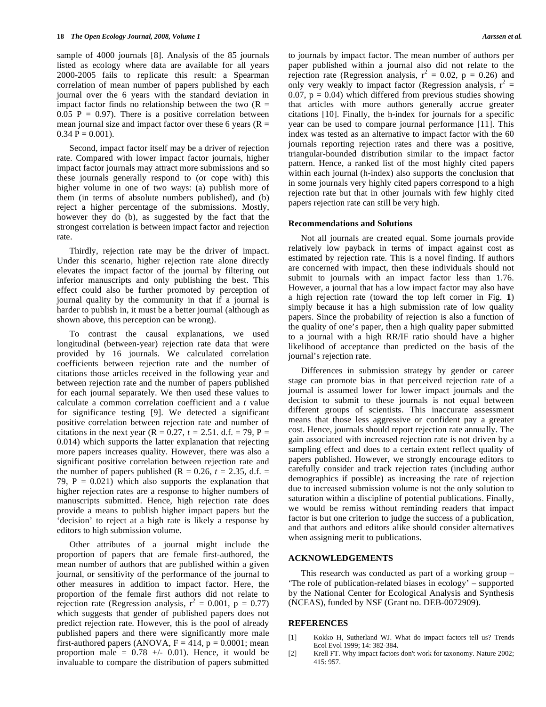sample of 4000 journals [8]. Analysis of the 85 journals listed as ecology where data are available for all years 2000-2005 fails to replicate this result: a Spearman correlation of mean number of papers published by each journal over the 6 years with the standard deviation in impact factor finds no relationship between the two  $(R =$  $0.05$  P = 0.97). There is a positive correlation between mean journal size and impact factor over these 6 years ( $R =$  $0.34$  P =  $0.001$ ).

 Second, impact factor itself may be a driver of rejection rate. Compared with lower impact factor journals, higher impact factor journals may attract more submissions and so these journals generally respond to (or cope with) this higher volume in one of two ways: (a) publish more of them (in terms of absolute numbers published), and (b) reject a higher percentage of the submissions. Mostly, however they do (b), as suggested by the fact that the strongest correlation is between impact factor and rejection rate.

 Thirdly, rejection rate may be the driver of impact. Under this scenario, higher rejection rate alone directly elevates the impact factor of the journal by filtering out inferior manuscripts and only publishing the best. This effect could also be further promoted by perception of journal quality by the community in that if a journal is harder to publish in, it must be a better journal (although as shown above, this perception can be wrong).

 To contrast the causal explanations, we used longitudinal (between-year) rejection rate data that were provided by 16 journals. We calculated correlation coefficients between rejection rate and the number of citations those articles received in the following year and between rejection rate and the number of papers published for each journal separately. We then used these values to calculate a common correlation coefficient and a *t* value for significance testing [9]. We detected a significant positive correlation between rejection rate and number of citations in the next year ( $R = 0.27$ ,  $t = 2.51$ . d.f. = 79, P = 0.014) which supports the latter explanation that rejecting more papers increases quality. However, there was also a significant positive correlation between rejection rate and the number of papers published ( $R = 0.26$ ,  $t = 2.35$ , d.f. = 79,  $P = 0.021$ ) which also supports the explanation that higher rejection rates are a response to higher numbers of manuscripts submitted. Hence, high rejection rate does provide a means to publish higher impact papers but the 'decision' to reject at a high rate is likely a response by editors to high submission volume.

 Other attributes of a journal might include the proportion of papers that are female first-authored, the mean number of authors that are published within a given journal, or sensitivity of the performance of the journal to other measures in addition to impact factor. Here, the proportion of the female first authors did not relate to rejection rate (Regression analysis,  $r^2 = 0.001$ ,  $p = 0.77$ ) which suggests that gender of published papers does not predict rejection rate. However, this is the pool of already published papers and there were significantly more male first-authored papers (ANOVA,  $F = 414$ ,  $p = 0.0001$ ; mean proportion male =  $0.78$  +/- 0.01). Hence, it would be invaluable to compare the distribution of papers submitted

to journals by impact factor. The mean number of authors per paper published within a journal also did not relate to the rejection rate (Regression analysis,  $r^2 = 0.02$ ,  $p = 0.26$ ) and only very weakly to impact factor (Regression analysis,  $r^2 =$ 0.07,  $p = 0.04$ ) which differed from previous studies showing that articles with more authors generally accrue greater citations [10]. Finally, the h-index for journals for a specific year can be used to compare journal performance [11]. This index was tested as an alternative to impact factor with the 60 journals reporting rejection rates and there was a positive, triangular-bounded distribution similar to the impact factor pattern. Hence, a ranked list of the most highly cited papers within each journal (h-index) also supports the conclusion that in some journals very highly cited papers correspond to a high rejection rate but that in other journals with few highly cited papers rejection rate can still be very high.

### **Recommendations and Solutions**

 Not all journals are created equal. Some journals provide relatively low payback in terms of impact against cost as estimated by rejection rate. This is a novel finding. If authors are concerned with impact, then these individuals should not submit to journals with an impact factor less than 1.76. However, a journal that has a low impact factor may also have a high rejection rate (toward the top left corner in Fig. **1**) simply because it has a high submission rate of low quality papers. Since the probability of rejection is also a function of the quality of one's paper, then a high quality paper submitted to a journal with a high RR/IF ratio should have a higher likelihood of acceptance than predicted on the basis of the journal's rejection rate.

 Differences in submission strategy by gender or career stage can promote bias in that perceived rejection rate of a journal is assumed lower for lower impact journals and the decision to submit to these journals is not equal between different groups of scientists. This inaccurate assessment means that those less aggressive or confident pay a greater cost. Hence, journals should report rejection rate annually. The gain associated with increased rejection rate is not driven by a sampling effect and does to a certain extent reflect quality of papers published. However, we strongly encourage editors to carefully consider and track rejection rates (including author demographics if possible) as increasing the rate of rejection due to increased submission volume is not the only solution to saturation within a discipline of potential publications. Finally, we would be remiss without reminding readers that impact factor is but one criterion to judge the success of a publication, and that authors and editors alike should consider alternatives when assigning merit to publications.

# **ACKNOWLEDGEMENTS**

 This research was conducted as part of a working group – 'The role of publication-related biases in ecology' – supported by the National Center for Ecological Analysis and Synthesis (NCEAS), funded by NSF (Grant no. DEB-0072909).

# **REFERENCES**

- [1] Kokko H, Sutherland WJ. What do impact factors tell us? Trends Ecol Evol 1999; 14: 382-384.
- [2] Krell FT. Why impact factors don't work for taxonomy. Nature 2002; 415: 957.